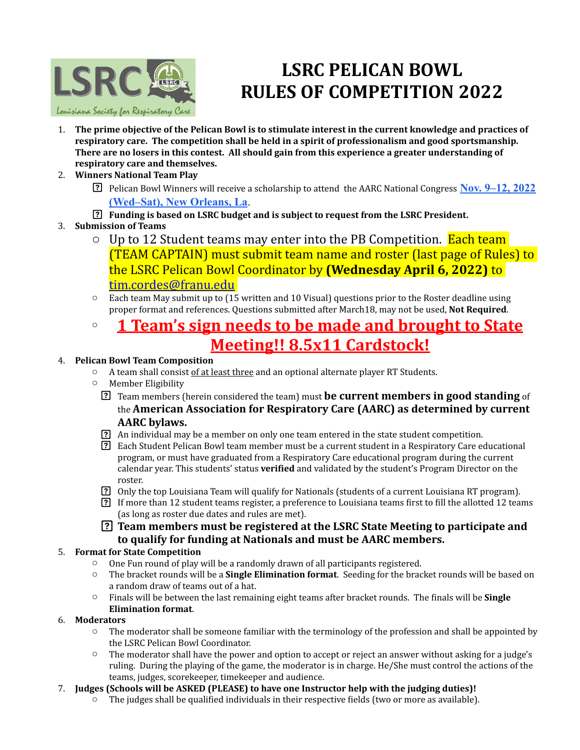

# **LSRC PELICAN BOWL RULES OF COMPETITION 2022**

- 1. The prime objective of the Pelican Bowl is to stimulate interest in the current knowledge and practices of respiratory care. The competition shall be held in a spirit of professionalism and good sportsmanship. There are no losers in this contest. All should gain from this experience a greater understanding of respiratory care and themselves.
- 2. **Winners National Team Play**
	- **Pelican Bowl Winners will receive a scholarship to attend the AARC National Congress Nov. 9–12, 2022 [\(Wed–Sat\), New Orleans, La](https://www.aarc.org/aarc-congress-2020/)**.
	- **Funding is based on LSRC budget and is subject to request from the LSRC President.**
- 3. **Submission of Teams**
	- $\circ$  Up to 12 Student teams may enter into the PB Competition. Each team (TEAM CAPTAIN) must submit team name and roster (last page of Rules) to the LSRC Pelican Bowl Coordinator by **(Wednesday April 6, 2022)** to [tim.cordes@franu.edu](mailto:tim.cordes@franu.edu)
	- $\circ$  Each team May submit up to (15 written and 10 Visual) questions prior to the Roster deadline using proper format and references. Questions submitted after March18, may not be used, **Not Required**.

### **1 Team's sign needs to be made and brought to State Meeting!! 8.5x11 Cardstock!**

#### 4. **Pelican Bowl Team Composition**

- $\circ$  A team shall consist of at least three and an optional alternate player RT Students.
- $\circ$  Member Eligibility
	- **The Team members (herein considered the team) must be current members in good standing** of the **American Association for Respiratory Care (AARC)** as determined by current **AARC bylaws.**
	- [?] An individual may be a member on only one team entered in the state student competition.
	- [?] Each Student Pelican Bowl team member must be a current student in a Respiratory Care educational program, or must have graduated from a Respiratory Care educational program during the current calendar year. This students' status **verified** and validated by the student's Program Director on the roster.
	- [?] Only the top Louisiana Team will qualify for Nationals (students of a current Louisiana RT program).
	- If more than 12 student teams register, a preference to Louisiana teams first to fill the allotted 12 teams (as long as roster due dates and rules are met).
	- **Team members must be registered at the LSRC State Meeting to participate and** to qualify for funding at Nationals and must be AARC members.

#### **5. Format for State Competition**

- $\circ$  One Fun round of play will be a randomly drawn of all participants registered.
- $\circ$  The bracket rounds will be a **Single Elimination format**. Seeding for the bracket rounds will be based on a random draw of teams out of a hat.
- $\circ$  Finals will be between the last remaining eight teams after bracket rounds. The finals will be **Single Elimination format**.

#### 6. **Moderators**

- $\circ$  The moderator shall be someone familiar with the terminology of the profession and shall be appointed by the LSRC Pelican Bowl Coordinator.
- $\circ$  The moderator shall have the power and option to accept or reject an answer without asking for a judge's ruling. During the playing of the game, the moderator is in charge. He/She must control the actions of the teams, judges, scorekeeper, timekeeper and audience.

#### 7. **Judges (Schools will be ASKED (PLEASE)** to have one Instructor help with the judging duties)!

 $\circ$  The iudges shall be qualified individuals in their respective fields (two or more as available).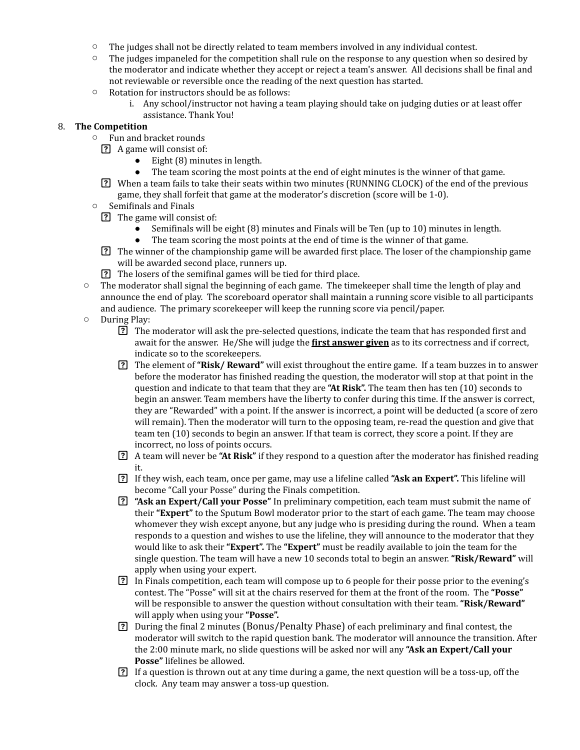- $\circ$  The judges shall not be directly related to team members involved in any individual contest.
- $\circ$  The judges impaneled for the competition shall rule on the response to any question when so desired by the moderator and indicate whether they accept or reject a team's answer. All decisions shall be final and not reviewable or reversible once the reading of the next question has started.
- $\circ$  Rotation for instructors should be as follows:
	- i. Any school/instructor not having a team playing should take on judging duties or at least offer assistance. Thank You!

#### 8. **The Competition**

- $\circ$  Fun and bracket rounds
	- **?** A game will consist of:
		- $\bullet$  Eight (8) minutes in length.
		- The team scoring the most points at the end of eight minutes is the winner of that game.
	- **[?]** When a team fails to take their seats within two minutes (RUNNING CLOCK) of the end of the previous game, they shall forfeit that game at the moderator's discretion (score will be  $1-0$ ).
- $\circ$  Semifinals and Finals
	- **?** The game will consist of:
		- Semifinals will be eight (8) minutes and Finals will be Ten (up to 10) minutes in length.
		- The team scoring the most points at the end of time is the winner of that game.
	- The winner of the championship game will be awarded first place. The loser of the championship game will be awarded second place, runners up.
	- The losers of the semifinal games will be tied for third place.
- The moderator shall signal the beginning of each game. The timekeeper shall time the length of play and announce the end of play. The scoreboard operator shall maintain a running score visible to all participants and audience. The primary scorekeeper will keep the running score via pencil/paper.
- $\circ$  During Play:
	- The moderator will ask the pre-selected questions, indicate the team that has responded first and await for the answer. He/She will judge the **first answer given** as to its correctness and if correct, indicate so to the scorekeepers.
	- The element of "Risk/ Reward" will exist throughout the entire game. If a team buzzes in to answer before the moderator has finished reading the question, the moderator will stop at that point in the question and indicate to that team that they are "At Risk". The team then has ten (10) seconds to begin an answer. Team members have the liberty to confer during this time. If the answer is correct, they are "Rewarded" with a point. If the answer is incorrect, a point will be deducted (a score of zero will remain). Then the moderator will turn to the opposing team, re-read the question and give that team ten (10) seconds to begin an answer. If that team is correct, they score a point. If they are incorrect, no loss of points occurs.
	- **2** A team will never be "At Risk" if they respond to a question after the moderator has finished reading it.
	- If they wish, each team, once per game, may use a lifeline called "Ask an Expert". This lifeline will become "Call your Posse" during the Finals competition.
	- **[?]** "Ask an Expert/Call your Posse" In preliminary competition, each team must submit the name of their "Expert" to the Sputum Bowl moderator prior to the start of each game. The team may choose whomever they wish except anyone, but any judge who is presiding during the round. When a team responds to a question and wishes to use the lifeline, they will announce to the moderator that they would like to ask their "**Expert".** The "**Expert"** must be readily available to join the team for the single question. The team will have a new 10 seconds total to begin an answer. "Risk/Reward" will apply when using your expert.
	- **[3]** In Finals competition, each team will compose up to 6 people for their posse prior to the evening's contest. The "Posse" will sit at the chairs reserved for them at the front of the room. The "Posse" will be responsible to answer the question without consultation with their team. "Risk/Reward" will apply when using your **"Posse".**
	- **[3]** During the final 2 minutes (Bonus/Penalty Phase) of each preliminary and final contest, the moderator will switch to the rapid question bank. The moderator will announce the transition. After the 2:00 minute mark, no slide questions will be asked nor will any "Ask an Expert/Call your Posse" lifelines be allowed.
	- **[?]** If a question is thrown out at any time during a game, the next question will be a toss-up, off the clock. Any team may answer a toss-up question.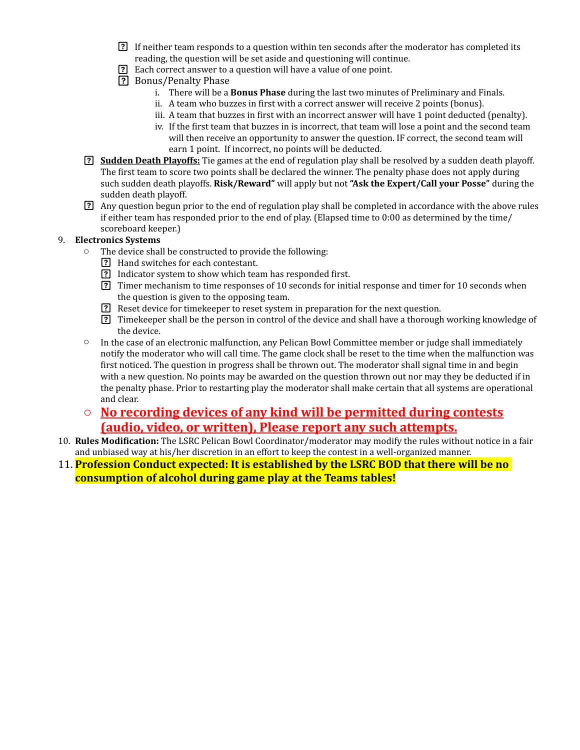- **[2]** If neither team responds to a question within ten seconds after the moderator has completed its reading, the question will be set aside and questioning will continue.
- Each correct answer to a question will have a value of one point.
- **P.** Bonus/Penalty Phase
	- i. There will be a **Bonus Phase** during the last two minutes of Preliminary and Finals.
	- ii. A team who buzzes in first with a correct answer will receive 2 points (bonus).
	- iii. A team that buzzes in first with an incorrect answer will have 1 point deducted (penalty).
	- iv. If the first team that buzzes in is incorrect, that team will lose a point and the second team will then receive an opportunity to answer the question. IF correct, the second team will earn 1 point. If incorrect, no points will be deducted.
- **3. Sudden Death Playoffs:** Tie games at the end of regulation play shall be resolved by a sudden death playoff. The first team to score two points shall be declared the winner. The penalty phase does not apply during such sudden death playoffs. **Risk/Reward"** will apply but not "Ask the Expert/Call your Posse" during the sudden death playoff.
- **a** Any question begun prior to the end of regulation play shall be completed in accordance with the above rules if either team has responded prior to the end of play. (Elapsed time to  $0:00$  as determined by the time/ scoreboard keeper.)

#### 9. **Electronics Systems**

- $\circ$  The device shall be constructed to provide the following:
	- **[?]** Hand switches for each contestant.
	- **P** Indicator system to show which team has responded first.
	- **The Thermechanism to time responses of 10 seconds for initial response and timer for 10 seconds when** the question is given to the opposing team.
	- Reset device for time keeper to reset system in preparation for the next question.
	- **The EXECUTE EXECUTE:** Time keeper shall be the person in control of the device and shall have a thorough working knowledge of the device.
- $\circ$  In the case of an electronic malfunction, any Pelican Bowl Committee member or judge shall immediately notify the moderator who will call time. The game clock shall be reset to the time when the malfunction was first noticed. The question in progress shall be thrown out. The moderator shall signal time in and begin with a new question. No points may be awarded on the question thrown out nor may they be deducted if in the penalty phase. Prior to restarting play the moderator shall make certain that all systems are operational and clear.
- **o** No recording devices of any kind will be permitted during contests (audio, video, or written), Please report any such attempts.
- 10. **Rules Modification:** The LSRC Pelican Bowl Coordinator/moderator may modify the rules without notice in a fair and unbiased way at his/her discretion in an effort to keep the contest in a well-organized manner.

#### 11. **Profession Conduct expected: It is established by the LSRC BOD that there will be no <u>consumption of alcohol during game play at the Teams tables!</u>**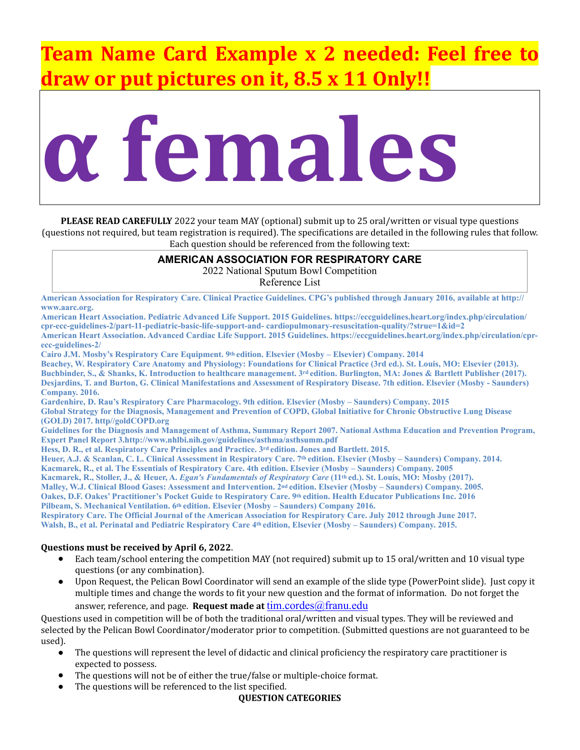# **Theory Examplex 2 needed: Feel free to draw or put pictures on it, 8.5 x 11 Only!!**



**PLEASE READ CAREFULLY** 2022 your team MAY (optional) submit up to 25 oral/written or visual type questions (questions not required, but team registration is required). The specifications are detailed in the following rules that follow. Each question should be referenced from the following text:

#### **AMERICAN ASSOCIATION FOR RESPIRATORY CARE**

2022 National Sputum Bowl Competition

Reference List

**American Association for Respiratory Care. Clinical Practice Guidelines. CPG's published through January 2016, available at http:// www.aarc.org.** 

**American Heart Association. Pediatric Advanced Life Support. 2015 Guidelines. https://eccguidelines.heart.org/index.php/circulation/ cpr-ecc-guidelines-2/part-11-pediatric-basic-life-support-and- cardiopulmonary-resuscitation-quality/?strue=1&id=2 American Heart Association. Advanced Cardiac Life Support. 2015 Guidelines. https://eccguidelines.heart.org/index.php/circulation/cpr-**

**ecc-guidelines-2/** 

**Cairo J.M. Mosby's Respiratory Care Equipment. 9th edition. Elsevier (Mosby – Elsevier) Company. 2014 Beachey, W. Respiratory Care Anatomy and Physiology: Foundations for Clinical Practice (3rd ed.). St. Louis, MO: Elsevier (2013).**  Buchbinder, S., & Shanks, K. Introduction to healthcare management. 3<sup>rd</sup> edition. Burlington, MA: Jones & Bartlett Publisher (2017). **Desjardins, T. and Burton, G. Clinical Manifestations and Assessment of Respiratory Disease. 7th edition. Elsevier (Mosby - Saunders) Company. 2016.** 

**Gardenhire, D. Rau's Respiratory Care Pharmacology. 9th edition. Elsevier (Mosby – Saunders) Company. 2015 Global Strategy for the Diagnosis, Management and Prevention of COPD, Global Initiative for Chronic Obstructive Lung Disease (GOLD) 2017. http//goldCOPD.org** 

**Guidelines for the Diagnosis and Management of Asthma, Summary Report 2007. National Asthma Education and Prevention Program, Expert Panel Report 3.http://www.nhlbi.nih.gov/guidelines/asthma/asthsumm.pdf** 

Hess, D. R., et al. Respiratory Care Principles and Practice. 3<sup>rd</sup> edition. Jones and Bartlett. 2015.

**Heuer, A.J. & Scanlan, C. L. Clinical Assessment in Respiratory Care. 7th edition. Elsevier (Mosby – Saunders) Company. 2014.** 

**Kacmarek, R., et al. The Essentials of Respiratory Care. 4th edition. Elsevier (Mosby – Saunders) Company. 2005** 

Kacmarek, R., Stoller, J., & Heuer, A. *Egan's Fundamentals of Respiratory Care* (11<sup>th</sup> ed.). St. Louis, MO: Mosby (2017).

**Malley, W.J. Clinical Blood Gases: Assessment and Intervention. 2nd edition. Elsevier (Mosby – Saunders) Company. 2005.** 

**Oakes, D.F. Oakes' Practitioner's Pocket Guide to Respiratory Care. 9th edition. Health Educator Publications Inc. 2016** 

Pilbeam, S. Mechanical Ventilation. 6<sup>th</sup> edition. Elsevier (Mosby – Saunders) Company 2016.

**Respiratory Care. The Official Journal of the American Association for Respiratory Care. July 2012 through June 2017. Walsh, B., et al. Perinatal and Pediatric Respiratory Care 4th edition, Elsevier (Mosby – Saunders) Company. 2015.**

#### **Questions must be received by April 6, 2022.**

- Each team/school entering the competition MAY (not required) submit up to 15 oral/written and 10 visual type questions (or any combination).
- Upon Request, the Pelican Bowl Coordinator will send an example of the slide type (PowerPoint slide). Just copy it multiple times and change the words to fit your new question and the format of information. Do not forget the answer, reference, and page. **Request made at lim.cordes@franu.edu**

Ouestions used in competition will be of both the traditional oral/written and visual types. They will be reviewed and selected by the Pelican Bowl Coordinator/moderator prior to competition. (Submitted questions are not guaranteed to be used).

- The questions will represent the level of didactic and clinical proficiency the respiratory care practitioner is expected to possess.
- The questions will not be of either the true/false or multiple-choice format.
- The questions will be referenced to the list specified.

#### **QUESTION CATEGORIES**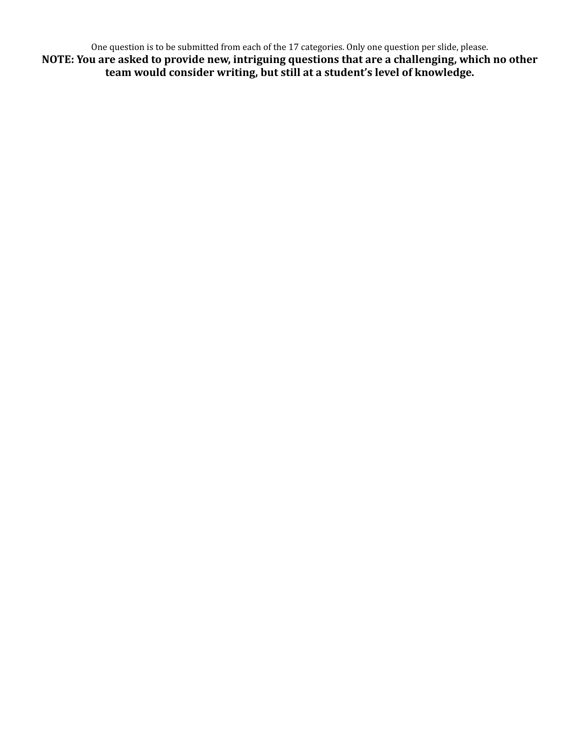One question is to be submitted from each of the 17 categories. Only one question per slide, please. **NOTE: You are asked to provide new, intriguing questions that are a challenging, which no other** team would consider writing, but still at a student's level of knowledge.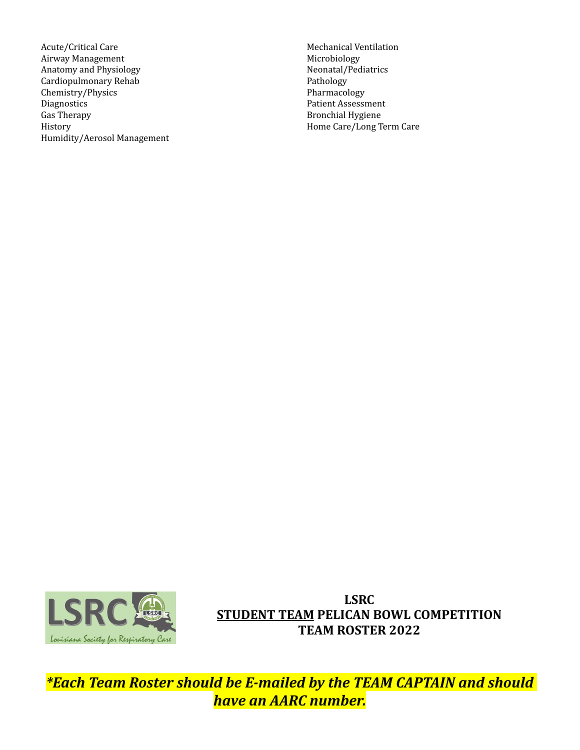Acute/Critical Care Airway Management Anatomy and Physiology Cardiopulmonary Rehab Chemistry/Physics Diagnostics Gas Therapy History Humidity/Aerosol Management 

Mechanical Ventilation Microbiology Neonatal/Pediatrics Pathology Pharmacology Patient Assessment Bronchial Hygiene Home Care/Long Term Care



**LSRC STUDENT TEAM PELICAN BOWL COMPETITION TEAM ROSTER 2022**

*\*Each Team Roster should be E-mailed by the TEAM CAPTAIN and should have an AARC number.*